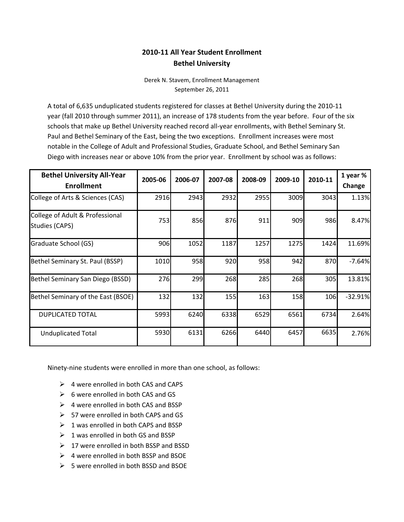# **2010-11 All Year Student Enrollment Bethel University**

Derek N. Stavem, Enrollment Management September 26, 2011

A total of 6,635 unduplicated students registered for classes at Bethel University during the 2010-11 year (fall 2010 through summer 2011), an increase of 178 students from the year before. Four of the six schools that make up Bethel University reached record all-year enrollments, with Bethel Seminary St. Paul and Bethel Seminary of the East, being the two exceptions. Enrollment increases were most notable in the College of Adult and Professional Studies, Graduate School, and Bethel Seminary San Diego with increases near or above 10% from the prior year. Enrollment by school was as follows:

| <b>Bethel University All-Year</b><br><b>Enrollment</b> | 2005-06 | 2006-07 | 2007-08 | 2008-09 | 2009-10 | 2010-11    | 1 year %<br>Change |
|--------------------------------------------------------|---------|---------|---------|---------|---------|------------|--------------------|
| College of Arts & Sciences (CAS)                       | 2916    | 2943    | 2932    | 2955    | 3009    | 3043       | 1.13%              |
| College of Adult & Professional<br>Studies (CAPS)      | 753     | 856     | 876     | 911     | 909     | 986        | 8.47%              |
| Graduate School (GS)                                   | 906     | 1052    | 1187    | 1257    | 1275    | 1424       | 11.69%             |
| Bethel Seminary St. Paul (BSSP)                        | 1010    | 958     | 920     | 958     | 942     | 870        | $-7.64%$           |
| Bethel Seminary San Diego (BSSD)                       | 276     | 299     | 268     | 285     | 268     | 305        | 13.81%             |
| Bethel Seminary of the East (BSOE)                     | 132     | 132     | 155     | 163     | 158     | <b>106</b> | $-32.91%$          |
| <b>DUPLICATED TOTAL</b>                                | 5993    | 6240    | 6338    | 6529    | 6561    | 6734       | 2.64%              |
| <b>Unduplicated Total</b>                              | 5930    | 6131    | 6266    | 6440    | 6457    | 6635       | 2.76%              |

Ninety-nine students were enrolled in more than one school, as follows:

- $\triangleright$  4 were enrolled in both CAS and CAPS
- $\triangleright$  6 were enrolled in both CAS and GS
- $\triangleright$  4 were enrolled in both CAS and BSSP
- $\geq$  57 were enrolled in both CAPS and GS
- $\geq 1$  was enrolled in both CAPS and BSSP
- $\geq 1$  was enrolled in both GS and BSSP
- $\geq 17$  were enrolled in both BSSP and BSSD
- $\triangleright$  4 were enrolled in both BSSP and BSOE
- $\geq$  5 were enrolled in both BSSD and BSOE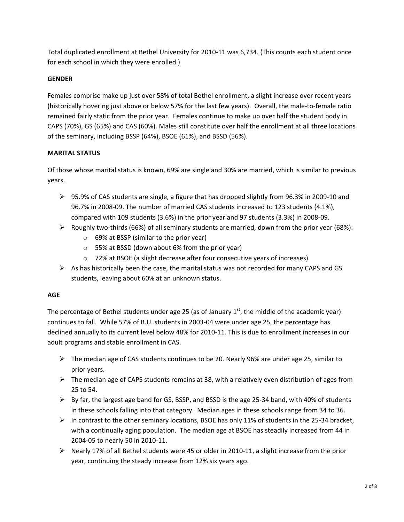Total duplicated enrollment at Bethel University for 2010-11 was 6,734. (This counts each student once for each school in which they were enrolled.)

## **GENDER**

Females comprise make up just over 58% of total Bethel enrollment, a slight increase over recent years (historically hovering just above or below 57% for the last few years). Overall, the male-to-female ratio remained fairly static from the prior year. Females continue to make up over half the student body in CAPS (70%), GS (65%) and CAS (60%). Males still constitute over half the enrollment at all three locations of the seminary, including BSSP (64%), BSOE (61%), and BSSD (56%).

## **MARITAL STATUS**

Of those whose marital status is known, 69% are single and 30% are married, which is similar to previous years.

- 95.9% of CAS students are single, a figure that has dropped slightly from 96.3% in 2009-10 and 96.7% in 2008-09. The number of married CAS students increased to 123 students (4.1%), compared with 109 students (3.6%) in the prior year and 97 students (3.3%) in 2008-09.
- $\triangleright$  Roughly two-thirds (66%) of all seminary students are married, down from the prior year (68%):
	- o 69% at BSSP (similar to the prior year)
	- o 55% at BSSD (down about 6% from the prior year)
	- o 72% at BSOE (a slight decrease after four consecutive years of increases)
- $\triangleright$  As has historically been the case, the marital status was not recorded for many CAPS and GS students, leaving about 60% at an unknown status.

## **AGE**

The percentage of Bethel students under age 25 (as of January  $1<sup>st</sup>$ , the middle of the academic year) continues to fall. While 57% of B.U. students in 2003-04 were under age 25, the percentage has declined annually to its current level below 48% for 2010-11. This is due to enrollment increases in our adult programs and stable enrollment in CAS.

- $\triangleright$  The median age of CAS students continues to be 20. Nearly 96% are under age 25, similar to prior years.
- $\triangleright$  The median age of CAPS students remains at 38, with a relatively even distribution of ages from 25 to 54.
- $\triangleright$  By far, the largest age band for GS, BSSP, and BSSD is the age 25-34 band, with 40% of students in these schools falling into that category. Median ages in these schools range from 34 to 36.
- $\triangleright$  In contrast to the other seminary locations, BSOE has only 11% of students in the 25-34 bracket, with a continually aging population. The median age at BSOE has steadily increased from 44 in 2004-05 to nearly 50 in 2010-11.
- Nearly 17% of all Bethel students were 45 or older in 2010-11, a slight increase from the prior year, continuing the steady increase from 12% six years ago.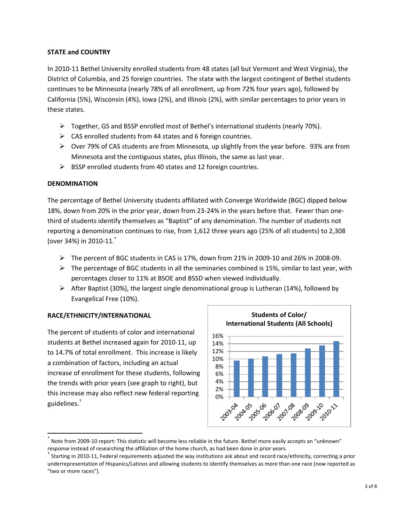## **STATE and COUNTRY**

In 2010-11 Bethel University enrolled students from 48 states (all but Vermont and West Virginia), the District of Columbia, and 25 foreign countries. The state with the largest contingent of Bethel students continues to be Minnesota (nearly 78% of all enrollment, up from 72% four years ago), followed by California (5%), Wisconsin (4%), Iowa (2%), and Illinois (2%), with similar percentages to prior years in these states.

- $\triangleright$  Together, GS and BSSP enrolled most of Bethel's international students (nearly 70%).
- $\triangleright$  CAS enrolled students from 44 states and 6 foreign countries.
- $\triangleright$  Over 79% of CAS students are from Minnesota, up slightly from the year before. 93% are from Minnesota and the contiguous states, plus Illinois, the same as last year.
- $\triangleright$  BSSP enrolled students from 40 states and 12 foreign countries.

### **DENOMINATION**

The percentage of Bethel University students affiliated with Converge Worldwide (BGC) dipped below 18%, down from 20% in the prior year, down from 23-24% in the years before that. Fewer than onethird of students identify themselves as "Baptist" of any denomination. The number of students not reporting a denomination continues to rise, from 1,612 three years ago (25% of all students) to 2,308 (over 34%) in 2010-11. \*

- $\triangleright$  The percent of BGC students in CAS is 17%, down from 21% in 2009-10 and 26% in 2008-09.
- $\triangleright$  The percentage of BGC students in all the seminaries combined is 15%, similar to last year, with percentages closer to 11% at BSOE and BSSD when viewed individually.
- $\triangleright$  After Baptist (30%), the largest single denominational group is Lutheran (14%), followed by Evangelical Free (10%).

## **RACE/ETHNICITY/INTERNATIONAL**

 $\overline{\phantom{a}}$ 

The percent of students of color and international students at Bethel increased again for 2010-11, up to 14.7% of total enrollment. This increase is likely a combination of factors, including an actual increase of enrollment for these students, following the trends with prior years (see graph to right), but this increase may also reflect new federal reporting guidelines.†



<sup>\*</sup> Note from 2009-10 report: This statistic will become less reliable in the future. Bethel more easily accepts an "unknown" response instead of researching the affiliation of the home church, as had been done in prior years.

<sup>†</sup> Starting in 2010-11, Federal requirements adjusted the way institutions ask about and record race/ethnicity, correcting a prior underrepresentation of Hispanics/Latinos and allowing students to identify themselves as more than one race (now reported as "two or more races").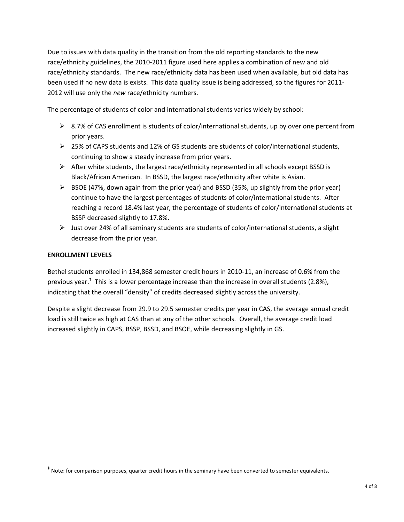Due to issues with data quality in the transition from the old reporting standards to the new race/ethnicity guidelines, the 2010-2011 figure used here applies a combination of new and old race/ethnicity standards. The new race/ethnicity data has been used when available, but old data has been used if no new data is exists. This data quality issue is being addressed, so the figures for 2011- 2012 will use only the *new* race/ethnicity numbers.

The percentage of students of color and international students varies widely by school:

- $\triangleright$  8.7% of CAS enrollment is students of color/international students, up by over one percent from prior years.
- $\geq$  25% of CAPS students and 12% of GS students are students of color/international students, continuing to show a steady increase from prior years.
- $\triangleright$  After white students, the largest race/ethnicity represented in all schools except BSSD is Black/African American. In BSSD, the largest race/ethnicity after white is Asian.
- $\triangleright$  BSOE (47%, down again from the prior year) and BSSD (35%, up slightly from the prior year) continue to have the largest percentages of students of color/international students. After reaching a record 18.4% last year, the percentage of students of color/international students at BSSP decreased slightly to 17.8%.
- $\triangleright$  Just over 24% of all seminary students are students of color/international students, a slight decrease from the prior year.

### **ENROLLMENT LEVELS**

 $\overline{a}$ 

Bethel students enrolled in 134,868 semester credit hours in 2010-11, an increase of 0.6% from the previous year.<sup>‡</sup> This is a lower percentage increase than the increase in overall students (2.8%), indicating that the overall "density" of credits decreased slightly across the university.

Despite a slight decrease from 29.9 to 29.5 semester credits per year in CAS, the average annual credit load is still twice as high at CAS than at any of the other schools. Overall, the average credit load increased slightly in CAPS, BSSP, BSSD, and BSOE, while decreasing slightly in GS.

<sup>‡</sup> Note: for comparison purposes, quarter credit hours in the seminary have been converted to semester equivalents.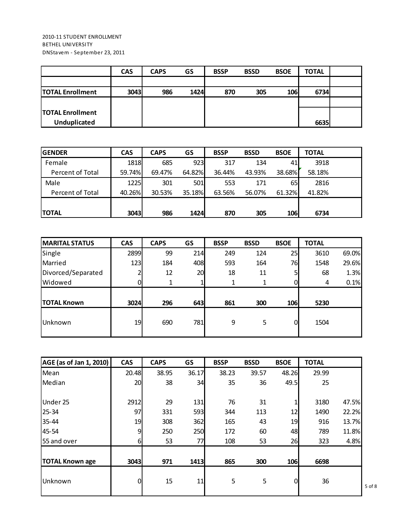| ZUIU-II STUDENT ENRULLIVIENT<br><b>BETHEL UNIVERSITY</b><br>DNStavem - September 23, 2011 |            |             |      |             |             |             |              |  |
|-------------------------------------------------------------------------------------------|------------|-------------|------|-------------|-------------|-------------|--------------|--|
|                                                                                           | <b>CAS</b> | <b>CAPS</b> | GS   | <b>BSSP</b> | <b>BSSD</b> | <b>BSOE</b> | <b>TOTAL</b> |  |
| <b>TOTAL Enrollment</b>                                                                   | 3043       | 986         | 1424 | 870         | 305         | 106         | 6734         |  |
| <b>TOTAL Enrollment</b><br><b>Unduplicated</b>                                            |            |             |      |             |             |             | 6635         |  |

| <b>Unduplicated</b> |            |             |        |             |             |             | 6635         |  |
|---------------------|------------|-------------|--------|-------------|-------------|-------------|--------------|--|
|                     |            |             |        |             |             |             |              |  |
| <b>GENDER</b>       | <b>CAS</b> | <b>CAPS</b> | GS     | <b>BSSP</b> | <b>BSSD</b> | <b>BSOE</b> | <b>TOTAL</b> |  |
| Female              | 1818       | 685         | 923    | 317         | 134         | 41          | 3918         |  |
| Percent of Total    | 59.74%     | 69.47%      | 64.82% | 36.44%      | 43.93%      | 38.68%      | 58.18%       |  |
| Male                | 1225       | 301         | 501    | 553         | 171         | 65          | 2816         |  |
| Percent of Total    | 40.26%     | 30.53%      | 35.18% | 63.56%      | 56.07%      | 61.32%      | 41.82%       |  |
|                     |            |             |        |             |             |             |              |  |
| <b>TOTAL</b>        | 3043       | 986         | 1424   | 870         | 305         | 106         | 6734         |  |

| <b>TOTAL</b>          | 3043       | 986         | 1424 | 870         | 305         | <b>106</b>  | 6734         |       |
|-----------------------|------------|-------------|------|-------------|-------------|-------------|--------------|-------|
|                       |            |             |      |             |             |             |              |       |
| <b>MARITAL STATUS</b> | <b>CAS</b> | <b>CAPS</b> | GS   | <b>BSSP</b> | <b>BSSD</b> | <b>BSOE</b> | <b>TOTAL</b> |       |
| Single                | 2899       | 99          | 214  | 249         | 124         | 25          | 3610         | 69.0% |
| Married               | 123        | 184         | 408  | 593         | 164         | 76          | 1548         | 29.6% |
| Divorced/Separated    |            | 12          | 20   | 18          | 11          |             | 68           | 1.3%  |
| Widowed               | 0.         | 1           |      | 1           | 1           |             | 4            | 0.1%  |
|                       |            |             |      |             |             |             |              |       |
| <b>TOTAL Known</b>    | 3024       | 296         | 643  | 861         | 300         | <b>106</b>  | 5230         |       |
| Unknown               | 19         | 690         | 781  | 9           | 5           | $\Omega$    | 1504         |       |

| AGE (as of Jan 1, 2010) | <b>CAS</b> | <b>CAPS</b> | GS    | <b>BSSP</b> | <b>BSSD</b> | <b>BSOE</b> | <b>TOTAL</b> |       |
|-------------------------|------------|-------------|-------|-------------|-------------|-------------|--------------|-------|
| Mean                    | 20.48      | 38.95       | 36.17 | 38.23       | 39.57       | 48.26       | 29.99        |       |
| Median                  | 20         | 38          | 34    | 35          | 36          | 49.5        | 25           |       |
|                         |            |             |       |             |             |             |              |       |
| Under 25                | 2912       | 29          | 131   | 76          | 31          |             | 3180         | 47.5% |
| $25 - 34$               | 97         | 331         | 593   | 344         | 113         | 12          | 1490         | 22.2% |
| 35-44                   | 19         | 308         | 362   | 165         | 43          | 19          | 916          | 13.7% |
| 45-54                   | 9          | 250         | 250   | 172         | 60          | 48          | 789          | 11.8% |
| 55 and over             | 6          | 53          | 77    | 108         | 53          | 26          | 323          | 4.8%  |
|                         |            |             |       |             |             |             |              |       |
| <b>TOTAL Known age</b>  | 3043       | 971         | 1413  | 865         | 300         | 106         | 6698         |       |
| Unknown                 | 0          | 15          | 11    | 5           | 5           | $\Omega$    | 36           |       |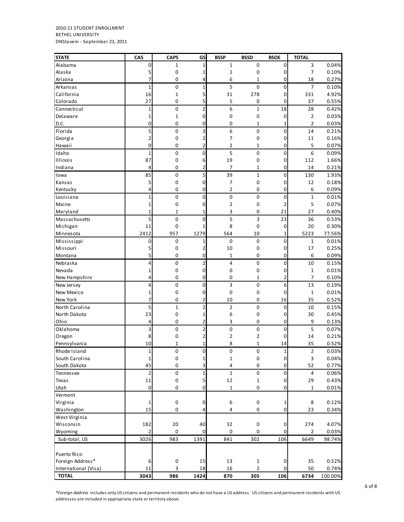2010-11 STUDENT ENROLLMENT BETHEL UNIVERSITY DNStavem - September 23, 2011

| <b>STATE</b>         | CAS            | <b>CAPS</b>      | GS           | <b>BSSP</b>      | <b>BSSD</b>    | <b>BSOE</b>  | <b>TOTAL</b>   |         |
|----------------------|----------------|------------------|--------------|------------------|----------------|--------------|----------------|---------|
| Alabama              | 0              | 1                | 1            | $\mathbf 1$      | 0              | 0            | 3              | 0.04%   |
| Alaska               | 5              | 0                | 1            | 1                | $\pmb{0}$      | 0            | $\overline{7}$ | 0.10%   |
| Arizona              | 7              | 0                | 4            | 6                | $\mathbf{1}$   | 0            | 18             | 0.27%   |
| Arkansas             | $\mathbf{1}$   | $\mathbf 0$      | 1            | 5                | 0              | 0            | 7              | 0.10%   |
| California           | 16             | $\mathbf 1$      | 5            | 31               | 278            | 0            | 331            | 4.92%   |
| Colorado             | 27             | 0                | 5            | 5                | 0              | 0            | 37             | 0.55%   |
| Connecticut          | $\mathbf{1}$   | 0                | 2            | 6                | 1              | 18           | 28             | 0.42%   |
| Delaware             | 1              | $\mathbf 1$      | 0            | 0                | $\pmb{0}$      | $\mathbf 0$  | $\overline{2}$ | 0.03%   |
| D.C.                 | $\mathbf 0$    | 0                | 0            | 0                | 1              | $\mathbf{1}$ | $\overline{2}$ | 0.03%   |
| Florida              | 5              | $\mathbf 0$      | 3            | 6                | $\mathbf 0$    | 0            | 14             | 0.21%   |
| Georgia              | $\overline{2}$ | 0                | 2            | 7                | 0              | 0            | 11             | 0.16%   |
| Hawaii               | 0              | 0                | 2            | 2                | 1              | 0            | 5              | 0.07%   |
| Idaho                | $\mathbf{1}$   | $\pmb{0}$        | 0            | 5                | 0              | $\mathbf 0$  | 6              | 0.09%   |
| Illinois             | 87             | $\pmb{0}$        | 6            | 19               | 0              | 0            | 112            | 1.66%   |
| Indiana              | 4              | 0                | 2            | 7                | 1              | 0            | 14             | 0.21%   |
| Iowa                 | 85             | $\pmb{0}$        | 5            | 39               | $\mathbf{1}$   | 0            | 130            | 1.93%   |
| Kansas               | 5              | 0                | 0            | 7                | 0              | 0            | 12             | 0.18%   |
| Kentucky             | 4              | 0                | 0            | $\overline{2}$   | 0              | 0            | 6              | 0.09%   |
| Louisiana            | $\mathbf{1}$   | $\mathbf 0$      | 0            | $\pmb{0}$        | $\pmb{0}$      | 0            | $\mathbf{1}$   | 0.01%   |
| Maine                | 1              | $\pmb{0}$        | 0            | 2                | 0              | 2            | 5              | 0.07%   |
| Maryland             | $\mathbf{1}$   | 1                | 1            | 3                | 0              | 21           | 27             | 0.40%   |
| Massachusetts        | 5              | $\pmb{0}$        | 0            | 5                | 3              | 23           | 36             | 0.53%   |
| Michigan             | 11             | $\pmb{0}$        | 1            | 8                | 0              | $\mathbf 0$  | 20             | 0.30%   |
| Minnesota            | 2412           | 957              | 1279         | 564              | 10             | 1            | 5223           | 77.56%  |
| Mississippi          | 0              | $\boldsymbol{0}$ | 1            | 0                | $\mathbf 0$    | 0            | 1              | 0.01%   |
| Missouri             | 5              | 0                | 2            | 10               | 0              | 0            | 17             | 0.25%   |
| Montana              | 5              | 0                | 0            | $\mathbf{1}$     | 0              | 0            | 6              | 0.09%   |
| Nebraska             | 4              | $\mathbf 0$      | 2            | $\overline{4}$   | 0              | 0            | 10             | 0.15%   |
| Nevada               | 1              | 0                | 0            | 0                | 0              | 0            | $\mathbf{1}$   | 0.01%   |
| New Hampshire        | 4              | 0                | 0            | 0                | 1              | 2            | $\overline{7}$ | 0.10%   |
| New Jersey           | 4              | 0                | 0            | 3                | 0              | 6            | 13             | 0.19%   |
| New Mexico           | 1              | $\pmb{0}$        | 0            | $\mathbf 0$      | 0              | $\mathbf 0$  | $\mathbf{1}$   | 0.01%   |
| New York             | 7              | $\mathbf 0$      | 2            | 10               | 0              | 16           | 35             | 0.52%   |
| North Carolina       | 5              | $\mathbf 1$      | 2            | $\overline{2}$   | 0              | 0            | 10             | 0.15%   |
| North Dakota         | 23             | 0                | 1            | 6                | 0              | 0            | 30             | 0.45%   |
| Ohio                 | 4              | 0                | 2            | 3                | 0              | 0            | 9              | 0.13%   |
| Oklahoma             | 3              | $\pmb{0}$        | 2            | 0                | 0              | 0            | 5              | 0.07%   |
| Oregon               | 8              | 0                | 2            | 2                | 2              | 0            | 14             | 0.21%   |
| Pennsylvania         | 10             | 1                | 1            | 8                | 1              | 14           | 35             | 0.52%   |
| Rhode Island         | $\mathbf{1}$   | $\pmb{0}$        | $\pmb{0}$    | $\pmb{0}$        | $\pmb{0}$      | $1\vert$     | $\overline{2}$ | 0.03%   |
| South Carolina       | $1\,$          | $\mathbf 0$      | $\mathbf{1}$ | $\mathbf 1$      | $\mathbf 0$    | $\pmb{0}$    | 3              | 0.04%   |
| South Dakota         | 45             | 0                | 3            | 4                | $\pmb{0}$      | $\pmb{0}$    | 52             | 0.77%   |
| Tennessee            | $\overline{2}$ | $\pmb{0}$        | 1            | 1                | 0              | $\pmb{0}$    | 4              | 0.06%   |
| Texas                | 11             | $\pmb{0}$        | 5            | 12               | $\mathbf 1$    | $\pmb{0}$    | 29             | 0.43%   |
| Utah                 | $\mathbf 0$    | 0                | 0            | $\mathbf 1$      | 0              | $\pmb{0}$    | $\mathbf{1}$   | 0.01%   |
| Vermont              |                |                  |              |                  |                |              |                |         |
| Virginia             | 1              | $\pmb{0}$        | 0            | $\boldsymbol{6}$ | $\mathbf 0$    | 1            | 8              | 0.12%   |
| Washington           | 15             | 0                | 4            | 4                | 0              | 0            | 23             | 0.34%   |
| West Virginia        |                |                  |              |                  |                |              |                |         |
| Wisconsin            | 182            | 20               | 40           | 32               | $\mathbf 0$    | 0            | 274            | 4.07%   |
| Wyoming              | $\overline{2}$ | 0                | 0            | 0                | 0              | $\pmb{0}$    | 2              | 0.03%   |
| Sub-total, US        | 3026           | 983              | 1391         | 841              | 302            | 106          | 6649           | 98.74%  |
|                      |                |                  |              |                  |                |              |                |         |
| Puerto Rico          |                |                  |              |                  |                |              |                |         |
| Foreign Address*     | 6              | $\pmb{0}$        | 15           | 13               | $\mathbf{1}$   | $\mathbf 0$  | 35             | 0.52%   |
| International (Visa) | 11             | 3                | 18           | 16               | $\overline{2}$ | 0            | 50             | 0.74%   |
| <b>TOTAL</b>         | 3043           | 986              | 1424         | 870              | 305            | 106          | 6734           | 100.00% |

\**Foreign Address* includes only US citizens and permanent residents who do not have a US address. US citizens and permanent residents with US addresses are included in appropriate state or territory above.

6 of 8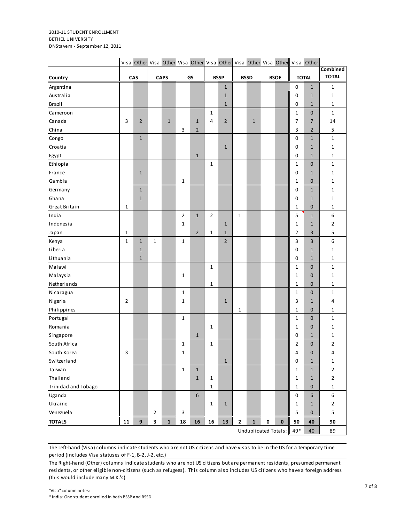#### 2010-11 STUDENT ENROLLMENT BETHEL UNIVERSITY DNStavem - September 12, 2011

|                     |                |                |                |              |                |                |                |                |              |                      |           |             |              | Visa Other Visa Other Visa Other Visa Other Visa Other Visa Other Visa Other |                  |
|---------------------|----------------|----------------|----------------|--------------|----------------|----------------|----------------|----------------|--------------|----------------------|-----------|-------------|--------------|------------------------------------------------------------------------------|------------------|
|                     |                |                |                |              |                |                |                |                |              |                      |           |             |              |                                                                              | <b>Combined</b>  |
| Country             |                | CAS            |                | <b>CAPS</b>  |                | GS             |                | <b>BSSP</b>    |              | <b>BSSD</b>          |           | <b>BSOE</b> |              | <b>TOTAL</b>                                                                 | <b>TOTAL</b>     |
| Argentina           |                |                |                |              |                |                |                | $\mathbf{1}$   |              |                      |           |             | $\pmb{0}$    | $\mathbf{1}$                                                                 | $\mathbf{1}$     |
| Australia           |                |                |                |              |                |                |                | $\mathbf{1}$   |              |                      |           |             | $\mathbf 0$  | $\mathbf{1}$                                                                 | $\mathbf 1$      |
| Brazil              |                |                |                |              |                |                |                | $\mathbf{1}$   |              |                      |           |             | $\mathbf 0$  | $\mathbf{1}$                                                                 | $\mathbf 1$      |
| Cameroon            |                |                |                |              |                |                | $\mathbf{1}$   |                |              |                      |           |             | $\mathbf 1$  | $\mathbf 0$                                                                  | $\mathbf 1$      |
| Canada              | 3              | $\overline{2}$ |                | $\mathbf{1}$ |                | $\mathbf{1}$   | 4              | $\mathbf 2$    |              | $\mathbf{1}$         |           |             | 7            | 7                                                                            | 14               |
| China               |                |                |                |              | 3              | $\overline{2}$ |                |                |              |                      |           |             | 3            | $\overline{2}$                                                               | $\sf 5$          |
| Congo               |                | $\mathbf{1}$   |                |              |                |                |                |                |              |                      |           |             | $\pmb{0}$    | $\mathbf{1}$                                                                 | $\mathbf 1$      |
| Croatia             |                |                |                |              |                |                |                | $\mathbf 1$    |              |                      |           |             | 0            | $\mathbf{1}$                                                                 | $\mathbf 1$      |
| Egypt               |                |                |                |              |                | $\mathbf 1$    |                |                |              |                      |           |             | $\mathbf 0$  | $1\,$                                                                        | $\mathbf{1}$     |
| Ethiopia            |                |                |                |              |                |                | $\mathbf{1}$   |                |              |                      |           |             | $\mathbf{1}$ | $\mathbf 0$                                                                  | $\mathbf{1}$     |
| France              |                | $\mathbf{1}$   |                |              |                |                |                |                |              |                      |           |             | 0            | $\mathbf{1}$                                                                 | $\mathbf 1$      |
| Gambia              |                |                |                |              | $\mathbf 1$    |                |                |                |              |                      |           |             | $\mathbf{1}$ | $\pmb{0}$                                                                    | $\mathbf 1$      |
| Germany             |                | $\mathbf{1}$   |                |              |                |                |                |                |              |                      |           |             | $\pmb{0}$    | $\mathbf{1}$                                                                 | $\mathbf 1$      |
| Ghana               |                | $\mathbf{1}$   |                |              |                |                |                |                |              |                      |           |             | $\pmb{0}$    | $\mathbf{1}$                                                                 | $\mathbf 1$      |
| Great Britain       | $\mathbf{1}$   |                |                |              |                |                |                |                |              |                      |           |             | 1            | 0                                                                            | 1                |
| India               |                |                |                |              | $\overline{2}$ | $\mathbf{1}$   | $\overline{2}$ |                | $\mathbf{1}$ |                      |           |             | 5            | $\mathbf{1}$                                                                 | 6                |
| Indonesia           |                |                |                |              | 1              |                |                | $\mathbf{1}$   |              |                      |           |             | 1            | $\mathbf{1}$                                                                 | $\mathbf 2$      |
| Japan               | 1              |                |                |              |                | $\overline{2}$ | $\mathbf{1}$   | $\mathbf{1}$   |              |                      |           |             | 2            | 3                                                                            | 5                |
| Kenya               | $\mathbf{1}$   | $\mathbf{1}$   | $\mathbf{1}$   |              | $\mathbf{1}$   |                |                | $\overline{2}$ |              |                      |           |             | 3            | 3                                                                            | $\boldsymbol{6}$ |
| Liberia             |                | $\mathbf{1}$   |                |              |                |                |                |                |              |                      |           |             | $\pmb{0}$    | $\mathbf{1}$                                                                 | $\mathbf 1$      |
| Lithuania           |                | $1\,$          |                |              |                |                |                |                |              |                      |           |             | $\pmb{0}$    | $\mathbf{1}$                                                                 | $\mathbf{1}$     |
| Malawi              |                |                |                |              |                |                | $\mathbf{1}$   |                |              |                      |           |             | $\mathbf{1}$ | $\mathbf 0$                                                                  | $\mathbf 1$      |
| Malaysia            |                |                |                |              | 1              |                |                |                |              |                      |           |             | 1            | $\pmb{0}$                                                                    | $\mathbf 1$      |
| Netherlands         |                |                |                |              |                |                | 1              |                |              |                      |           |             | $\mathbf{1}$ | $\mathbf 0$                                                                  | $\mathbf 1$      |
| Nicaragua           |                |                |                |              | $\mathbf{1}$   |                |                |                |              |                      |           |             | 1            | $\pmb{0}$                                                                    | $\mathbf 1$      |
| Nigeria             | $\overline{2}$ |                |                |              | 1              |                |                | $\mathbf 1$    |              |                      |           |             | 3            | $\mathbf{1}$                                                                 | 4                |
| Philippines         |                |                |                |              |                |                |                |                | 1            |                      |           |             | 1            | $\mathbf 0$                                                                  | 1                |
| Portugal            |                |                |                |              | $1\,$          |                |                |                |              |                      |           |             | $\mathbf{1}$ | $\mathbf 0$                                                                  | $\mathbf 1$      |
| Romania             |                |                |                |              |                |                | $\mathbf{1}$   |                |              |                      |           |             | $\mathbf{1}$ | $\pmb{0}$                                                                    | $\mathbf{1}$     |
| Singapore           |                |                |                |              |                | $\mathbf 1$    |                |                |              |                      |           |             | 0            | $\mathbf{1}$                                                                 | $\mathbf{1}$     |
| South Africa        |                |                |                |              | 1              |                | $\mathbf{1}$   |                |              |                      |           |             | $\mathbf 2$  | $\pmb{0}$                                                                    | $\mathbf 2$      |
| South Korea         | 3              |                |                |              | $\mathbf{1}$   |                |                |                |              |                      |           |             | 4            | $\mathbf 0$                                                                  | 4                |
| Switzerland         |                |                |                |              |                |                |                | $\mathbf{1}$   |              |                      |           |             | $\pmb{0}$    | $\mathbf 1$                                                                  | $\mathbf 1$      |
| Taiwan              |                |                |                |              | $\mathbf 1$    | $\mathbf{1}$   |                |                |              |                      |           |             | $\mathbf 1$  | $\mathbf 1$                                                                  | $\mathbf 2$      |
| Thailand            |                |                |                |              |                | $\mathbf{1}$   | $\mathbf{1}$   |                |              |                      |           |             | $\mathbf{1}$ | $\mathbf{1}$                                                                 | $\mathbf 2$      |
| Trinidad and Tobago |                |                |                |              |                |                | $\mathbf{1}$   |                |              |                      |           |             | $\mathbf{1}$ | $\pmb{0}$                                                                    | $\mathbf 1$      |
| Uganda              |                |                |                |              |                | 6              |                |                |              |                      |           |             | $\pmb{0}$    | $\boldsymbol{6}$                                                             | $\boldsymbol{6}$ |
| Ukraine             |                |                |                |              |                |                | $\mathbf 1$    | $\mathbf 1$    |              |                      |           |             | $\mathbf{1}$ | $\mathbf{1}$                                                                 | $\mathbf 2$      |
| Venezuela           |                |                | $\overline{2}$ |              | $\mathbf{3}$   |                |                |                |              |                      |           |             | $\sf 5$      | $\mathbf 0$                                                                  | 5                |
|                     |                | $\overline{9}$ |                |              |                |                |                |                |              |                      | $\pmb{0}$ | $\bf{0}$    |              |                                                                              |                  |
| <b>TOTALS</b>       | 11             |                | $\mathbf{3}$   | $\mathbf{1}$ | ${\bf 18}$     | 16             | 16             | 13             | $\mathbf{2}$ | $\mathbf 1$          |           |             | 50           | 40                                                                           | 90               |
|                     |                |                |                |              |                |                |                |                |              | Unduplicated Totals: |           |             | $49*$        | 40                                                                           | 89               |

The Left-hand (Visa) columns indicate students who are not US citizens and have visas to be in the US for a temporary time period (includes Visa statuses of F-1, B-2, J-2, etc.)

The Right-hand (Other) columns indicate students who are not US citizens but are permanent residents, presumed permanent residents, or other eligible non-citizens (such as refugees). This column also includes US citizens who have a foreign address (this would include many M.K.'s)

\* India: One student enrolled in both BSSP and BSSD